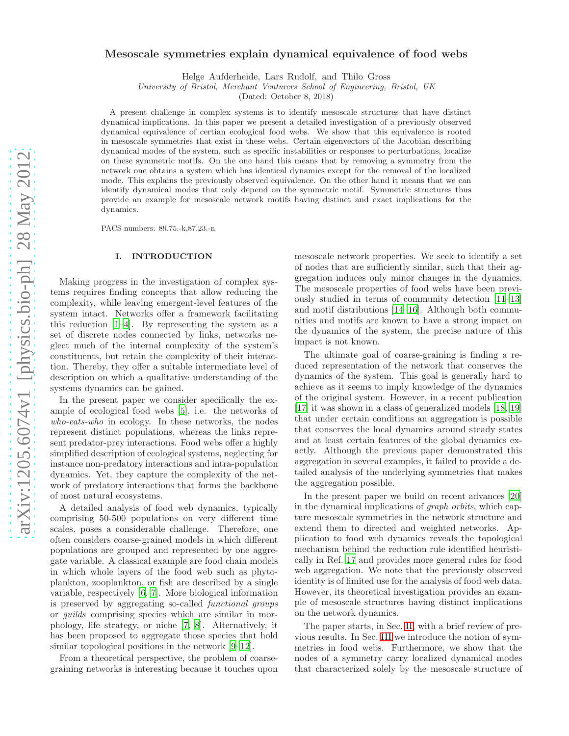# Mesoscale symmetries explain dynamical equivalence of food webs

Helge Aufderheide, Lars Rudolf, and Thilo Gross

University of Bristol, Merchant Venturers School of Engineering, Bristol, UK

(Dated: October 8, 2018)

A present challenge in complex systems is to identify mesoscale structures that have distinct dynamical implications. In this paper we present a detailed investigation of a previously observed dynamical equivalence of certian ecological food webs. We show that this equivalence is rooted in mesoscale symmetries that exist in these webs. Certain eigenvectors of the Jacobian describing dynamical modes of the system, such as specific instabilities or responses to perturbations, localize on these symmetric motifs. On the one hand this means that by removing a symmetry from the network one obtains a system which has identical dynamics except for the removal of the localized mode. This explains the previously observed equivalence. On the other hand it means that we can identify dynamical modes that only depend on the symmetric motif. Symmetric structures thus provide an example for mesoscale network motifs having distinct and exact implications for the dynamics.

PACS numbers: 89.75.-k,87.23.-n

## I. INTRODUCTION

Making progress in the investigation of complex systems requires finding concepts that allow reducing the complexity, while leaving emergent-level features of the system intact. Networks offer a framework facilitating this reduction  $[1-4]$ . By representing the system as a set of discrete nodes connected by links, networks neglect much of the internal complexity of the system's constituents, but retain the complexity of their interaction. Thereby, they offer a suitable intermediate level of description on which a qualitative understanding of the systems dynamics can be gained.

In the present paper we consider specifically the example of ecological food webs [\[5](#page-6-2)], i.e. the networks of who-eats-who in ecology. In these networks, the nodes represent distinct populations, whereas the links represent predator-prey interactions. Food webs offer a highly simplified description of ecological systems, neglecting for instance non-predatory interactions and intra-population dynamics. Yet, they capture the complexity of the network of predatory interactions that forms the backbone of most natural ecosystems.

A detailed analysis of food web dynamics, typically comprising 50-500 populations on very different time scales, poses a considerable challenge. Therefore, one often considers coarse-grained models in which different populations are grouped and represented by one aggregate variable. A classical example are food chain models in which whole layers of the food web such as phytoplankton, zooplankton, or fish are described by a single variable, respectively [\[6,](#page-6-3) [7\]](#page-6-4). More biological information is preserved by aggregating so-called functional groups or guilds comprising species which are similar in morphology, life strategy, or niche [\[7,](#page-6-4) [8\]](#page-6-5). Alternatively, it has been proposed to aggregate those species that hold similar topological positions in the network [\[9](#page-6-6)[–12\]](#page-7-0).

From a theoretical perspective, the problem of coarsegraining networks is interesting because it touches upon

mesoscale network properties. We seek to identify a set of nodes that are sufficiently similar, such that their aggregation induces only minor changes in the dynamics. The mesoscale properties of food webs have been previously studied in terms of community detection [\[11](#page-6-7)[–13\]](#page-7-1) and motif distributions [\[14](#page-7-2)[–16](#page-7-3)]. Although both communities and motifs are known to have a strong impact on the dynamics of the system, the precise nature of this impact is not known.

The ultimate goal of coarse-graining is finding a reduced representation of the network that conserves the dynamics of the system. This goal is generally hard to achieve as it seems to imply knowledge of the dynamics of the original system. However, in a recent publication [\[17\]](#page-7-4) it was shown in a class of generalized models [\[18,](#page-7-5) [19](#page-7-6)] that under certain conditions an aggregation is possible that conserves the local dynamics around steady states and at least certain features of the global dynamics exactly. Although the previous paper demonstrated this aggregation in several examples, it failed to provide a detailed analysis of the underlying symmetries that makes the aggregation possible.

In the present paper we build on recent advances [\[20](#page-7-7)] in the dynamical implications of graph orbits, which capture mesoscale symmetries in the network structure and extend them to directed and weighted networks. Application to food web dynamics reveals the topological mechanism behind the reduction rule identified heuristically in Ref. [17](#page-7-4) and provides more general rules for food web aggregation. We note that the previously observed identity is of limited use for the analysis of food web data. However, its theoretical investigation provides an example of mesoscale structures having distinct implications on the network dynamics.

The paper starts, in Sec. [II,](#page-1-0) with a brief review of previous results. In Sec. [III](#page-2-0) we introduce the notion of symmetries in food webs. Furthermore, we show that the nodes of a symmetry carry localized dynamical modes that characterized solely by the mesoscale structure of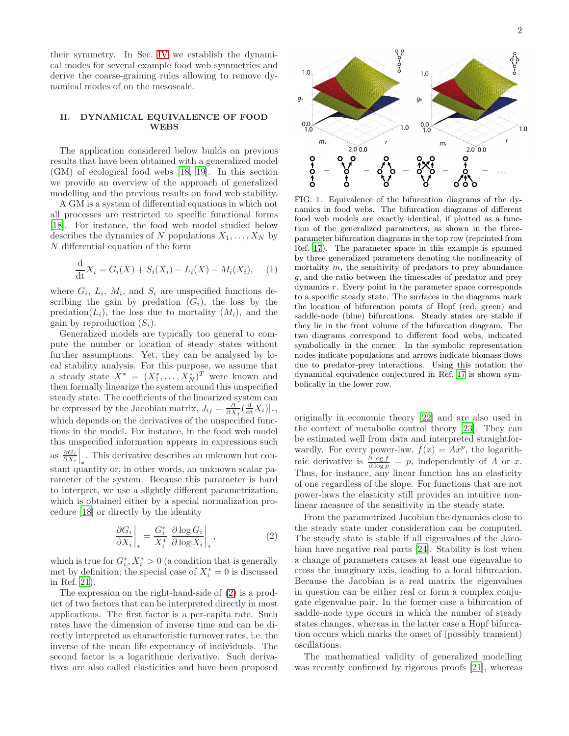their symmetry. In Sec. [IV](#page-4-0) we establish the dynamical modes for several example food web symmetries and derive the coarse-graining rules allowing to remove dynamical modes of on the mesoscale.

#### <span id="page-1-0"></span>II. DYNAMICAL EQUIVALENCE OF FOOD WEBS

The application considered below builds on previous results that have been obtained with a generalized model (GM) of ecological food webs [\[18,](#page-7-5) [19](#page-7-6)]. In this section we provide an overview of the approach of generalized modelling and the previous results on food web stability.

A GM is a system of differential equations in which not all processes are restricted to specific functional forms [\[18\]](#page-7-5). For instance, the food web model studied below describes the dynamics of N populations  $X_1, \ldots, X_N$  by N differential equation of the form

$$
\frac{d}{dt}X_i = G_i(X) + S_i(X_i) - L_i(X) - M_i(X_i), \quad (1)
$$

where  $G_i$ ,  $L_i$ ,  $M_i$ , and  $S_i$  are unspecified functions describing the gain by predation  $(G_i)$ , the loss by the predation( $L_i$ ), the loss due to mortality  $(M_i)$ , and the gain by reproduction  $(S_i)$ .

Generalized models are typically too general to compute the number or location of steady states without further assumptions. Yet, they can be analysed by local stability analysis. For this purpose, we assume that a steady state  $X^* = (X_1^*, \ldots, X_N^*)^T$  were known and then formally linearize the system around this unspecified steady state. The coefficients of the linearized system can be expressed by the Jacobian matrix,  $J_{ij} = \frac{\partial}{\partial X_j} \left( \frac{d}{dt} X_i \right) |_*,$ which depends on the derivatives of the unspecified functions in the model. For instance, in the food web model this unspecified information appears in expressions such as  $\frac{\partial G_i}{\partial X_i}\Big|_*$ . This derivative describes an unknown but constant quantity or, in other words, an unknown scalar parameter of the system. Because this parameter is hard to interpret, we use a slightly different parametrization, which is obtained either by a special normalization procedure [\[18](#page-7-5)] or directly by the identity

<span id="page-1-1"></span>
$$
\left. \frac{\partial G_i}{\partial X_i} \right|_* = \frac{G_i^*}{X_i^*} \left. \frac{\partial \log G_i}{\partial \log X_i} \right|_*,\tag{2}
$$

which is true for  $G_i^*$ ,  $X_i^* > 0$  (a condition that is generally met by definition; the special case of  $X_i^* = 0$  is discussed in Ref. [21\)](#page-7-8).

The expression on the right-hand-side of [\(2\)](#page-1-1) is a product of two factors that can be interpreted directly in most applications. The first factor is a per-capita rate. Such rates have the dimension of inverse time and can be directly interpreted as characteristic turnover rates, i.e. the inverse of the mean life expectancy of individuals. The second factor is a logarithmic derivative. Such derivatives are also called elasticities and have been proposed



 $1<sub>0</sub>$ 

 $q$ 

<span id="page-1-2"></span>FIG. 1. Equivalence of the bifurcation diagrams of the dynamics in food webs. The bifurcation diagrams of different food web models are exactly identical, if plotted as a function of the generalized parameters, as shown in the threeparameter bifurcation diagrams in the top row (reprinted from Ref. [17\)](#page-7-4). The parameter space in this example is spanned by three generalized parameters denoting the nonlinearity of mortality  $m$ , the sensitivity of predators to prev abundance g, and the ratio between the timescales of predator and prey dynamics r. Every point in the parameter space corresponds to a specific steady state. The surfaces in the diagrams mark the location of bifurcation points of Hopf (red, green) and saddle-node (blue) bifurcations. Steady states are stable if they lie in the front volume of the bifurcation diagram. The two diagrams correspond to different food webs, indicated symbolically in the corner. In the symbolic representation nodes indicate populations and arrows indicate biomass flows due to predator-prey interactions. Using this notation the dynamical equivalence conjectured in Ref. [17](#page-7-4) is shown symbolically in the lower row.

originally in economic theory [\[22\]](#page-7-9) and are also used in the context of metabolic control theory [\[23\]](#page-7-10). They can be estimated well from data and interpreted straightforwardly. For every power-law,  $f(x) = Ax^p$ , the logarithmic derivative is  $\frac{\partial \log f}{\partial \log p} = p$ , independently of A or x. Thus, for instance, any linear function has an elasticity of one regardless of the slope. For functions that are not power-laws the elasticity still provides an intuitive nonlinear measure of the sensitivity in the steady state.

From the parametrized Jacobian the dynamics close to the steady state under consideration can be computed. The steady state is stable if all eigenvalues of the Jacobian have negative real parts [\[24\]](#page-7-11). Stability is lost when a change of parameters causes at least one eigenvalue to cross the imaginary axis, leading to a local bifurcation. Because the Jacobian is a real matrix the eigenvalues in question can be either real or form a complex conjugate eigenvalue pair. In the former case a bifurcation of saddle-node type occurs in which the number of steady states changes, whereas in the latter case a Hopf bifurcation occurs which marks the onset of (possibly transient) oscillations.

The mathematical validity of generalized modelling was recently confirmed by rigorous proofs [\[21](#page-7-8)], whereas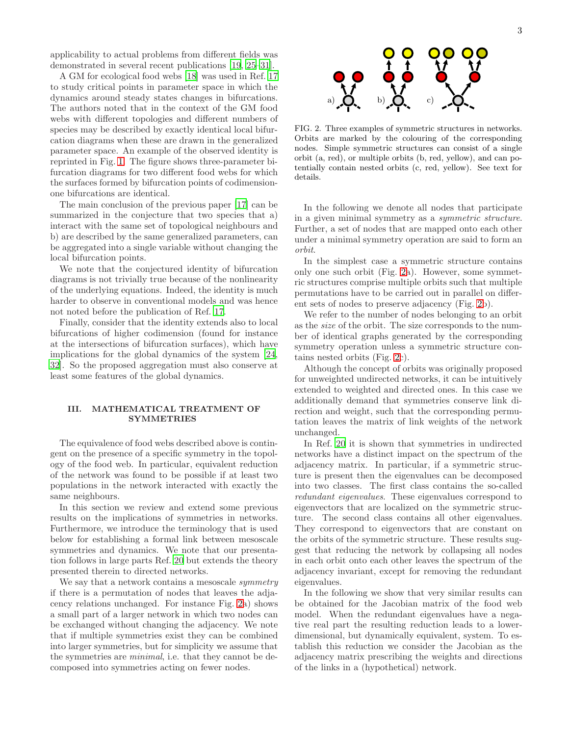applicability to actual problems from different fields was demonstrated in several recent publications [\[19](#page-7-6), [25](#page-7-12)[–31\]](#page-7-13).

A GM for ecological food webs [\[18](#page-7-5)] was used in Ref. [17](#page-7-4) to study critical points in parameter space in which the dynamics around steady states changes in bifurcations. The authors noted that in the context of the GM food webs with different topologies and different numbers of species may be described by exactly identical local bifurcation diagrams when these are drawn in the generalized parameter space. An example of the observed identity is reprinted in Fig. [1.](#page-1-2) The figure shows three-parameter bifurcation diagrams for two different food webs for which the surfaces formed by bifurcation points of codimensionone bifurcations are identical.

The main conclusion of the previous paper [\[17\]](#page-7-4) can be summarized in the conjecture that two species that a) interact with the same set of topological neighbours and b) are described by the same generalized parameters, can be aggregated into a single variable without changing the local bifurcation points.

We note that the conjectured identity of bifurcation diagrams is not trivially true because of the nonlinearity of the underlying equations. Indeed, the identity is much harder to observe in conventional models and was hence not noted before the publication of Ref. [17.](#page-7-4)

Finally, consider that the identity extends also to local bifurcations of higher codimension (found for instance at the intersections of bifurcation surfaces), which have implications for the global dynamics of the system [\[24](#page-7-11), [32\]](#page-7-14). So the proposed aggregation must also conserve at least some features of the global dynamics.

### <span id="page-2-0"></span>III. MATHEMATICAL TREATMENT OF SYMMETRIES

The equivalence of food webs described above is contingent on the presence of a specific symmetry in the topology of the food web. In particular, equivalent reduction of the network was found to be possible if at least two populations in the network interacted with exactly the same neighbours.

In this section we review and extend some previous results on the implications of symmetries in networks. Furthermore, we introduce the terminology that is used below for establishing a formal link between mesoscale symmetries and dynamics. We note that our presentation follows in large parts Ref. [20](#page-7-7) but extends the theory presented therein to directed networks.

We say that a network contains a mesoscale *symmetry* if there is a permutation of nodes that leaves the adjacency relations unchanged. For instance Fig. [2a](#page-2-1)) shows a small part of a larger network in which two nodes can be exchanged without changing the adjacency. We note that if multiple symmetries exist they can be combined into larger symmetries, but for simplicity we assume that the symmetries are minimal, i.e. that they cannot be decomposed into symmetries acting on fewer nodes.



<span id="page-2-1"></span>FIG. 2. Three examples of symmetric structures in networks. Orbits are marked by the colouring of the corresponding nodes. Simple symmetric structures can consist of a single orbit (a, red), or multiple orbits (b, red, yellow), and can potentially contain nested orbits (c, red, yellow). See text for details.

In the following we denote all nodes that participate in a given minimal symmetry as a symmetric structure. Further, a set of nodes that are mapped onto each other under a minimal symmetry operation are said to form an orbit.

In the simplest case a symmetric structure contains only one such orbit (Fig. [2a](#page-2-1)). However, some symmetric structures comprise multiple orbits such that multiple permutations have to be carried out in parallel on different sets of nodes to preserve adjacency (Fig. [2b](#page-2-1)).

We refer to the number of nodes belonging to an orbit as the size of the orbit. The size corresponds to the number of identical graphs generated by the corresponding symmetry operation unless a symmetric structure contains nested orbits (Fig. [2c](#page-2-1)).

Although the concept of orbits was originally proposed for unweighted undirected networks, it can be intuitively extended to weighted and directed ones. In this case we additionally demand that symmetries conserve link direction and weight, such that the corresponding permutation leaves the matrix of link weights of the network unchanged.

In Ref. [20](#page-7-7) it is shown that symmetries in undirected networks have a distinct impact on the spectrum of the adjacency matrix. In particular, if a symmetric structure is present then the eigenvalues can be decomposed into two classes. The first class contains the so-called redundant eigenvalues. These eigenvalues correspond to eigenvectors that are localized on the symmetric structure. The second class contains all other eigenvalues. They correspond to eigenvectors that are constant on the orbits of the symmetric structure. These results suggest that reducing the network by collapsing all nodes in each orbit onto each other leaves the spectrum of the adjacency invariant, except for removing the redundant eigenvalues.

In the following we show that very similar results can be obtained for the Jacobian matrix of the food web model. When the redundant eigenvalues have a negative real part the resulting reduction leads to a lowerdimensional, but dynamically equivalent, system. To establish this reduction we consider the Jacobian as the adjacency matrix prescribing the weights and directions of the links in a (hypothetical) network.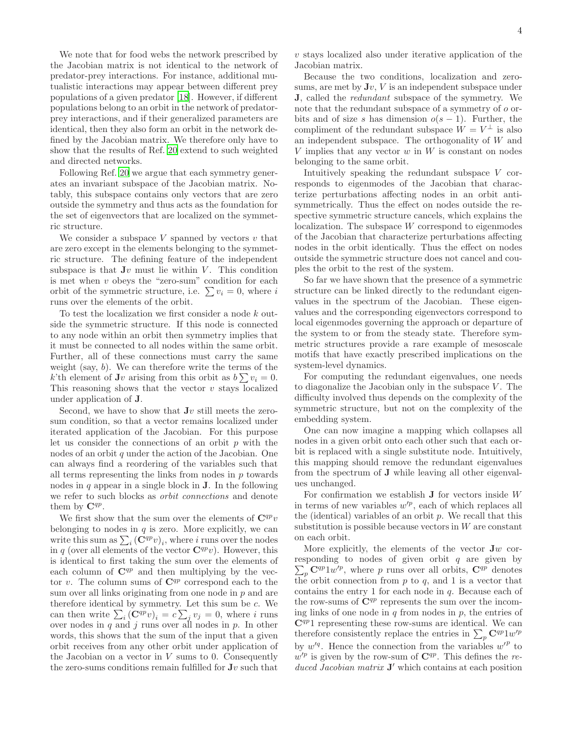We note that for food webs the network prescribed by the Jacobian matrix is not identical to the network of predator-prey interactions. For instance, additional mutualistic interactions may appear between different prey populations of a given predator [\[18\]](#page-7-5). However, if different populations belong to an orbit in the network of predatorprey interactions, and if their generalized parameters are identical, then they also form an orbit in the network defined by the Jacobian matrix. We therefore only have to show that the results of Ref. [20](#page-7-7) extend to such weighted and directed networks.

Following Ref. [20](#page-7-7) we argue that each symmetry generates an invariant subspace of the Jacobian matrix. Notably, this subspace contains only vectors that are zero outside the symmetry and thus acts as the foundation for the set of eigenvectors that are localized on the symmetric structure.

We consider a subspace  $V$  spanned by vectors  $v$  that are zero except in the elements belonging to the symmetric structure. The defining feature of the independent subspace is that  $Jv$  must lie within  $V$ . This condition is met when  $v$  obeys the "zero-sum" condition for each orbit of the symmetric structure, i.e.  $\sum v_i = 0$ , where i runs over the elements of the orbit.

To test the localization we first consider a node k outside the symmetric structure. If this node is connected to any node within an orbit then symmetry implies that it must be connected to all nodes within the same orbit. Further, all of these connections must carry the same weight (say,  $b$ ). We can therefore write the terms of the k'th element of **J**v arising from this orbit as  $b\sum v_i = 0$ . This reasoning shows that the vector  $v$  stays localized under application of J.

Second, we have to show that  $Jv$  still meets the zerosum condition, so that a vector remains localized under iterated application of the Jacobian. For this purpose let us consider the connections of an orbit  $p$  with the nodes of an orbit q under the action of the Jacobian. One can always find a reordering of the variables such that all terms representing the links from nodes in  $p$  towards nodes in  $q$  appear in a single block in  $J$ . In the following we refer to such blocks as orbit connections and denote them by  $\mathbf{C}^{qp}$ .

We first show that the sum over the elements of  $\mathbf{C}^{qp}v$ belonging to nodes in  $q$  is zero. More explicitly, we can write this sum as  $\sum_i (\bar{C}^{qp}v)_i$ , where i runs over the nodes in q (over all elements of the vector  $\mathbf{C}^{qp}v$ ). However, this is identical to first taking the sum over the elements of each column of  $\mathbf{C}^{qp}$  and then multiplying by the vector v. The column sums of  $\mathbf{C}^{qp}$  correspond each to the sum over all links originating from one node in  $p$  and are therefore identical by symmetry. Let this sum be  $c$ . We can then write  $\sum_i (\mathbf{C}^{qp} v)_i = c \sum_j v_j = 0$ , where i runs over nodes in  $q$  and  $j$  runs over all nodes in  $p$ . In other words, this shows that the sum of the input that a given orbit receives from any other orbit under application of the Jacobian on a vector in  $V$  sums to 0. Consequently the zero-sums conditions remain fulfilled for  $Jv$  such that

 $v$  stays localized also under iterative application of the Jacobian matrix.

Because the two conditions, localization and zerosums, are met by  $Jv$ ,  $V$  is an independent subspace under J, called the redundant subspace of the symmetry. We note that the redundant subspace of a symmetry of o orbits and of size s has dimension  $o(s-1)$ . Further, the compliment of the redundant subspace  $\hat{W} = V^{\perp}$  is also an independent subspace. The orthogonality of W and V implies that any vector  $w$  in  $W$  is constant on nodes belonging to the same orbit.

Intuitively speaking the redundant subspace V corresponds to eigenmodes of the Jacobian that characterize perturbations affecting nodes in an orbit antisymmetrically. Thus the effect on nodes outside the respective symmetric structure cancels, which explains the localization. The subspace  $W$  correspond to eigenmodes of the Jacobian that characterize perturbations affecting nodes in the orbit identically. Thus the effect on nodes outside the symmetric structure does not cancel and couples the orbit to the rest of the system.

So far we have shown that the presence of a symmetric structure can be linked directly to the redundant eigenvalues in the spectrum of the Jacobian. These eigenvalues and the corresponding eigenvectors correspond to local eigenmodes governing the approach or departure of the system to or from the steady state. Therefore symmetric structures provide a rare example of mesoscale motifs that have exactly prescribed implications on the system-level dynamics.

For computing the redundant eigenvalues, one needs to diagonalize the Jacobian only in the subspace  $V$ . The difficulty involved thus depends on the complexity of the symmetric structure, but not on the complexity of the embedding system.

One can now imagine a mapping which collapses all nodes in a given orbit onto each other such that each orbit is replaced with a single substitute node. Intuitively, this mapping should remove the redundant eigenvalues from the spectrum of J while leaving all other eigenvalues unchanged.

For confirmation we establish  $J$  for vectors inside  $W$ in terms of new variables  $w'^p$ , each of which replaces all the (identical) variables of an orbit  $p$ . We recall that this substitution is possible because vectors in  $W$  are constant on each orbit.

More explicitly, the elements of the vector  $Jw$  cor- $\sum_{p}$  C<sup>qp</sup>1w<sup>'p</sup>, where p runs over all orbits, C<sup>qp</sup> denotes responding to nodes of given orbit  $q$  are given by the orbit connection from  $p$  to  $q$ , and 1 is a vector that contains the entry 1 for each node in q. Because each of the row-sums of  $\mathbb{C}^{qp}$  represents the sum over the incoming links of one node in  $q$  from nodes in  $p$ , the entries of  $\mathbb{C}^{qp}$ 1 representing these row-sums are identical. We can therefore consistently replace the entries in  $\sum_p \mathbf{C}^{qp}1w'^p$ by  $w'^q$ . Hence the connection from the variables  $w'^p$  to  $w'^p$  is given by the row-sum of  $\mathbf{C}^{qp}$ . This defines the reduced Jacobian matrix  $J'$  which contains at each position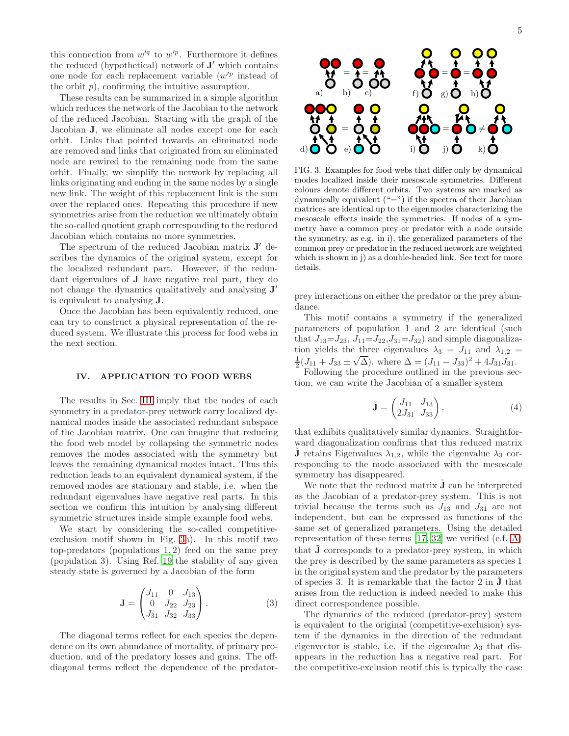this connection from  $w'^q$  to  $w'^p$ . Furthermore it defines the reduced (hypothetical) network of  $J'$  which contains one node for each replacement variable  $(w'^p)$  instead of the orbit  $p$ ), confirming the intuitive assumption.

These results can be summarized in a simple algorithm which reduces the network of the Jacobian to the network of the reduced Jacobian. Starting with the graph of the Jacobian J, we eliminate all nodes except one for each orbit. Links that pointed towards an eliminated node are removed and links that originated from an eliminated node are rewired to the remaining node from the same orbit. Finally, we simplify the network by replacing all links originating and ending in the same nodes by a single new link. The weight of this replacement link is the sum over the replaced ones. Repeating this procedure if new symmetries arise from the reduction we ultimately obtain the so-called quotient graph corresponding to the reduced Jacobian which contains no more symmetries.

The spectrum of the reduced Jacobian matrix  $J'$  describes the dynamics of the original system, except for the localized redundant part. However, if the redundant eigenvalues of J have negative real part, they do not change the dynamics qualitatively and analysing  $J'$ is equivalent to analysing J.

Once the Jacobian has been equivalently reduced, one can try to construct a physical representation of the reduced system. We illustrate this process for food webs in the next section.

#### <span id="page-4-0"></span>IV. APPLICATION TO FOOD WEBS

The results in Sec. [III](#page-2-0) imply that the nodes of each symmetry in a predator-prey network carry localized dynamical modes inside the associated redundant subspace of the Jacobian matrix. One can imagine that reducing the food web model by collapsing the symmetric nodes removes the modes associated with the symmetry but leaves the remaining dynamical modes intact. Thus this reduction leads to an equivalent dynamical system, if the removed modes are stationary and stable, i.e. when the redundant eigenvalues have negative real parts. In this section we confirm this intuition by analysing different symmetric structures inside simple example food webs.

We start by considering the so-called competitiveexclusion motif shown in Fig. [3a](#page-4-1)). In this motif two top-predators (populations 1, 2) feed on the same prey (population 3). Using Ref. [19](#page-7-6) the stability of any given steady state is governed by a Jacobian of the form

<span id="page-4-2"></span>
$$
\mathbf{J} = \begin{pmatrix} J_{11} & 0 & J_{13} \\ 0 & J_{22} & J_{23} \\ J_{31} & J_{32} & J_{33} \end{pmatrix} . \tag{3}
$$

The diagonal terms reflect for each species the dependence on its own abundance of mortality, of primary production, and of the predatory losses and gains. The offdiagonal terms reflect the dependence of the predator-



<span id="page-4-1"></span>FIG. 3. Examples for food webs that differ only by dynamical modes localized inside their mesoscale symmetries. Different colours denote different orbits. Two systems are marked as dynamically equivalent ("=") if the spectra of their Jacobian matrices are identical up to the eigenmodes characterizing the mesoscale effects inside the symmetries. If nodes of a symmetry have a common prey or predator with a node outside the symmetry, as e.g. in i), the generalized parameters of the common prey or predator in the reduced network are weighted which is shown in j) as a double-headed link. See text for more details.

prey interactions on either the predator or the prey abundance.

This motif contains a symmetry if the generalized parameters of population 1 and 2 are identical (such that  $J_{13}=J_{23}$ ,  $J_{11}=J_{22}$ ,  $J_{31}=J_{32}$ ) and simple diagonalization yields the three eigenvalues  $\lambda_3 = J_{11}$  and  $\lambda_{1,2}$  =  $\frac{1}{2}(J_{11} + J_{33} \pm \sqrt{\Delta})$ , where  $\Delta = (J_{11} - J_{33})^2 + 4J_{31}J_{31}$ .

Following the procedure outlined in the previous section, we can write the Jacobian of a smaller system

<span id="page-4-3"></span>
$$
\tilde{\mathbf{J}} = \begin{pmatrix} J_{11} & J_{13} \\ 2J_{31} & J_{33} \end{pmatrix},\tag{4}
$$

that exhibits qualitatively similar dynamics. Straightforward diagonalization confirms that this reduced matrix **J** retains Eigenvalues  $\lambda_{1,2}$ , while the eigenvalue  $\lambda_3$  corresponding to the mode associated with the mesoscale symmetry has disappeared.

We note that the reduced matrix  $J$  can be interpreted as the Jacobian of a predator-prey system. This is not trivial because the terms such as  $J_{13}$  and  $J_{31}$  are not independent, but can be expressed as functions of the same set of generalized parameters. Using the detailed representation of these terms [\[17,](#page-7-4) [32\]](#page-7-14) we verified (c.f. [A\)](#page-6-8) that **J** corresponds to a predator-prey system, in which the prey is described by the same parameters as species 1 in the original system and the predator by the parameters of species 3. It is remarkable that the factor  $2$  in  $J$  that arises from the reduction is indeed needed to make this direct correspondence possible.

The dynamics of the reduced (predator-prey) system is equivalent to the original (competitive-exclusion) system if the dynamics in the direction of the redundant eigenvector is stable, i.e. if the eigenvalue  $\lambda_3$  that disappears in the reduction has a negative real part. For the competitive-exclusion motif this is typically the case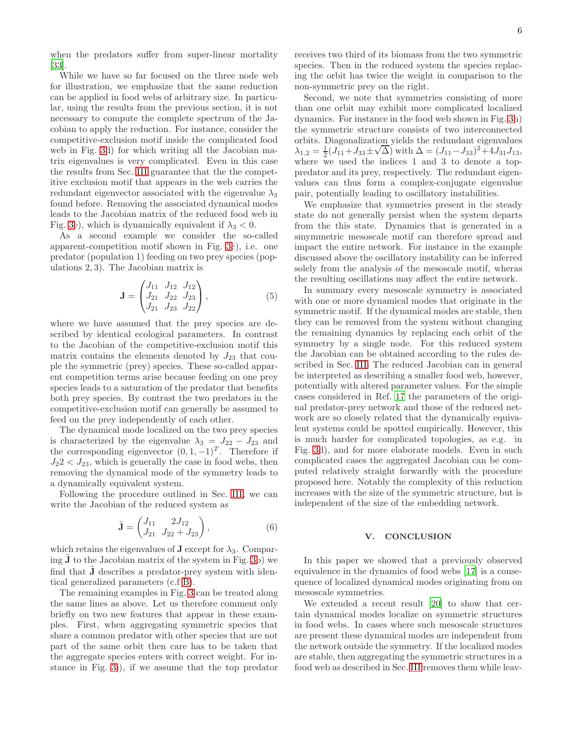when the predators suffer from super-linear mortality [\[33\]](#page-7-15).

While we have so far focused on the three node web for illustration, we emphasize that the same reduction can be applied in food webs of arbitrary size. In particular, using the results from the previous section, it is not necessary to compute the complete spectrum of the Jacobian to apply the reduction. For instance, consider the competitive-exclusion motif inside the complicated food web in Fig. [3d](#page-4-1)) for which writing all the Jacobian matrix eigenvalues is very complicated. Even in this case the results from Sec. [III](#page-2-0) guarantee that the the competitive exclusion motif that appears in the web carries the redundant eigenvector associated with the eigenvalue  $\lambda_3$ found before. Removing the associated dynamical modes leads to the Jacobian matrix of the reduced food web in Fig. [3e](#page-4-1)), which is dynamically equivalent if  $\lambda_3 < 0$ .

As a second example we consider the so-called apparent-competition motif shown in Fig. [3c](#page-4-1)), i.e. one predator (population 1) feeding on two prey species (populations 2, 3). The Jacobian matrix is

<span id="page-5-0"></span>
$$
\mathbf{J} = \begin{pmatrix} J_{11} & J_{12} & J_{12} \\ J_{21} & J_{22} & J_{23} \\ J_{21} & J_{23} & J_{22} \end{pmatrix},
$$
 (5)

where we have assumed that the prey species are described by identical ecological parameters. In contrast to the Jacobian of the competitive-exclusion motif this matrix contains the elements denoted by  $J_{23}$  that couple the symmetric (prey) species. These so-called apparent competition terms arise because feeding on one prey species leads to a saturation of the predator that benefits both prey species. By contrast the two predators in the competitive-exclusion motif can generally be assumed to feed on the prey independently of each other.

The dynamical mode localized on the two prey species is characterized by the eigenvalue  $\lambda_3 = J_{22} - J_{23}$  and the corresponding eigenvector  $(0, 1, -1)^T$ . Therefore if  $J_2$ 2 <  $J_{23}$ , which is generally the case in food webs, then removing the dynamical mode of the symmetry leads to a dynamically equivalent system.

Following the procedure outlined in Sec. [III,](#page-2-0) we can write the Jacobian of the reduced system as

$$
\tilde{\mathbf{J}} = \begin{pmatrix} J_{11} & 2J_{12} \\ J_{21} & J_{22} + J_{23} \end{pmatrix},\tag{6}
$$

which retains the eigenvalues of **J** except for  $\lambda_3$ . Comparing  $J$  to the Jacobian matrix of the system in Fig. [3b](#page-4-1)) we find that  $\tilde{J}$  describes a predator-prey system with identical generalized parameters (c.f [B\)](#page-6-9).

The remaining examples in Fig. [3](#page-4-1) can be treated along the same lines as above. Let us therefore comment only briefly on two new features that appear in these examples. First, when aggregating symmetric species that share a common predator with other species that are not part of the same orbit then care has to be taken that the aggregate species enters with correct weight. For instance in Fig. [3i](#page-4-1)), if we assume that the top predator

receives two third of its biomass from the two symmetric species. Then in the reduced system the species replacing the orbit has twice the weight in comparison to the non-symmetric prey on the right.

Second, we note that symmetries consisting of more than one orbit may exhibit more complicated localized dynamics. For instance in the food web shown in Fig. [3h](#page-4-1)) the symmetric structure consists of two interconnected orbits. Diagonalization yields the redundant eigenvalues  $\lambda_{1,2} = \frac{1}{2}(J_{11} + J_{33} \pm \sqrt{\Delta})$  with  $\Delta = (J_{11} - J_{33})^2 + 4J_{31}J_{13}$ , where we used the indices 1 and 3 to denote a toppredator and its prey, respectively. The redundant eigenvalues can thus form a complex-conjugate eigenvalue pair, potentially leading to oscillatory instabilities.

We emphasize that symmetries present in the steady state do not generally persist when the system departs from the this state. Dynamics that is generated in a smymmetric mesoscale motif can therefore spread and impact the entire network. For instance in the example discussed above the oscillatory instability can be inferred solely from the analysis of the mesoscale motif, wheras the resulting oscillations may affect the entire network.

In summary every mesoscale symmetry is associated with one or more dynamical modes that originate in the symmetric motif. If the dynamical modes are stable, then they can be removed from the system without changing the remaining dynamics by replacing each orbit of the symmetry by a single node. For this reduced system the Jacobian can be obtained according to the rules described in Sec. [III.](#page-2-0) The reduced Jacobian can in general be interpreted as describing a smaller food web, however, potentially with altered parameter values. For the simple cases considered in Ref. [17](#page-7-4) the parameters of the original predator-prey network and those of the reduced network are so closely related that the dynamically equivalent systems could be spotted empirically. However, this is much harder for complicated topologies, as e.g. in Fig. [3d](#page-4-1)), and for more elaborate models. Even in such complicated cases the aggregated Jacobian can be computed relatively straight forwardly with the procedure proposed here. Notably the complexity of this reduction increases with the size of the symmetric structure, but is independent of the size of the embedding network.

#### V. CONCLUSION

In this paper we showed that a previously observed equivalence in the dynamics of food webs [\[17\]](#page-7-4) is a consequence of localized dynamical modes originating from on mesoscale symmetries.

We extended a recent result [\[20](#page-7-7)] to show that certain dynamical modes localize on symmetric structures in food webs. In cases where such mesoscale structures are present these dynamical modes are independent from the network outside the symmetry. If the localized modes are stable, then aggregating the symmetric structures in a food web as described in Sec. [III](#page-2-0) removes them while leav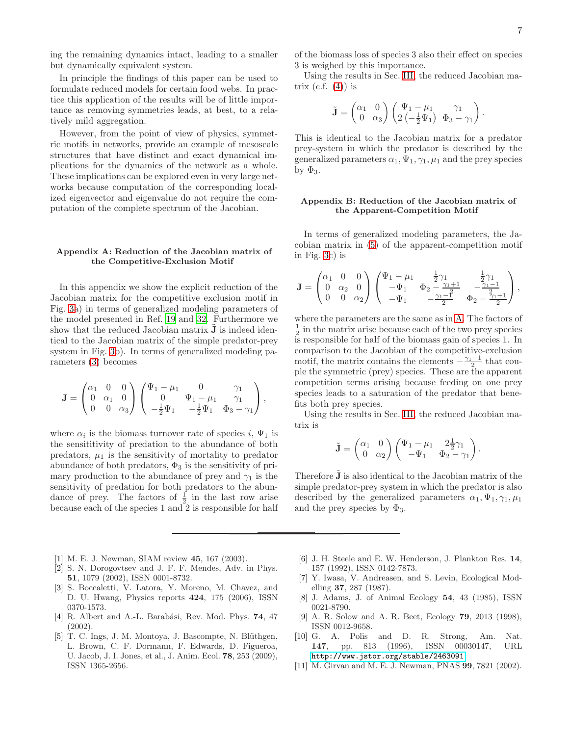ing the remaining dynamics intact, leading to a smaller but dynamically equivalent system.

In principle the findings of this paper can be used to formulate reduced models for certain food webs. In practice this application of the results will be of little importance as removing symmetries leads, at best, to a relatively mild aggregation.

However, from the point of view of physics, symmetric motifs in networks, provide an example of mesoscale structures that have distinct and exact dynamical implications for the dynamics of the network as a whole. These implications can be explored even in very large networks because computation of the corresponding localized eigenvector and eigenvalue do not require the computation of the complete spectrum of the Jacobian.

#### <span id="page-6-8"></span>Appendix A: Reduction of the Jacobian matrix of the Competitive-Exclusion Motif

In this appendix we show the explicit reduction of the Jacobian matrix for the competitive exclusion motif in Fig. [3a](#page-4-1)) in terms of generalized modeling parameters of the model presented in Ref. [19](#page-7-6) and [32.](#page-7-14) Furthermore we show that the reduced Jacobian matrix  $J$  is indeed identical to the Jacobian matrix of the simple predator-prey system in Fig. [3b](#page-4-1)). In terms of generalized modeling parameters [\(3\)](#page-4-2) becomes

$$
\mathbf{J} = \begin{pmatrix} \alpha_1 & 0 & 0 \\ 0 & \alpha_1 & 0 \\ 0 & 0 & \alpha_3 \end{pmatrix} \begin{pmatrix} \Psi_1 - \mu_1 & 0 & \gamma_1 \\ 0 & \Psi_1 - \mu_1 & \gamma_1 \\ -\frac{1}{2} \Psi_1 & -\frac{1}{2} \Psi_1 & \Phi_3 - \gamma_1 \end{pmatrix},
$$

where  $\alpha_i$  is the biomass turnover rate of species i,  $\Psi_1$  is the sensititivity of predation to the abundance of both predators,  $\mu_1$  is the sensitivity of mortality to predator abundance of both predators,  $\Phi_3$  is the sensitivity of primary production to the abundance of prey and  $\gamma_1$  is the sensitivity of predation for both predators to the abundance of prey. The factors of  $\frac{1}{2}$  in the last row arise because each of the species 1 and  $\overline{2}$  is responsible for half

- <span id="page-6-0"></span>[1] M. E. J. Newman, SIAM review 45, 167 (2003).
- [2] S. N. Dorogovtsev and J. F. F. Mendes, Adv. in Phys. 51, 1079 (2002), ISSN 0001-8732.
- [3] S. Boccaletti, V. Latora, Y. Moreno, M. Chavez, and D. U. Hwang, Physics reports 424, 175 (2006), ISSN 0370-1573.
- <span id="page-6-1"></span>[4] R. Albert and A.-L. Barabási, Rev. Mod. Phys. 74, 47 (2002).
- <span id="page-6-2"></span>[5] T. C. Ings, J. M. Montoya, J. Bascompte, N. Blüthgen, L. Brown, C. F. Dormann, F. Edwards, D. Figueroa, U. Jacob, J. I. Jones, et al., J. Anim. Ecol. 78, 253 (2009), ISSN 1365-2656.

of the biomass loss of species 3 also their effect on species 3 is weighed by this importance.

Using the results in Sec. [III,](#page-2-0) the reduced Jacobian matrix  $(c.f. (4))$  $(c.f. (4))$  $(c.f. (4))$  is

$$
\tilde{\mathbf{J}} = \begin{pmatrix} \alpha_1 & 0 \\ 0 & \alpha_3 \end{pmatrix} \begin{pmatrix} \Psi_1 - \mu_1 & \gamma_1 \\ 2 \left( -\frac{1}{2} \Psi_1 \right) & \Phi_3 - \gamma_1 \end{pmatrix}.
$$

This is identical to the Jacobian matrix for a predator prey-system in which the predator is described by the generalized parameters  $\alpha_1, \Psi_1, \gamma_1, \mu_1$  and the prey species by  $\Phi_3$ .

### <span id="page-6-9"></span>Appendix B: Reduction of the Jacobian matrix of the Apparent-Competition Motif

In terms of generalized modeling parameters, the Jacobian matrix in [\(5\)](#page-5-0) of the apparent-competition motif in Fig. [3c](#page-4-1)) is

$$
\mathbf{J} = \begin{pmatrix} \alpha_1 & 0 & 0 \\ 0 & \alpha_2 & 0 \\ 0 & 0 & \alpha_2 \end{pmatrix} \begin{pmatrix} \Psi_1 - \mu_1 & \frac{1}{2}\gamma_1 & \frac{1}{2}\gamma_1 \\ -\Psi_1 & \Phi_2 - \frac{\gamma_1 + 1}{2} & -\frac{\gamma_1 - 1}{2} \\ -\Psi_1 & -\frac{\gamma_1 - 1}{2} & \Phi_2 - \frac{\gamma_1 + 1}{2} \end{pmatrix},
$$

where the parameters are the same as in [A.](#page-6-8) The factors of  $\frac{1}{2}$  in the matrix arise because each of the two prey species is responsible for half of the biomass gain of species 1. In comparison to the Jacobian of the competitive-exclusion motif, the matrix contains the elements  $-\frac{\gamma_1-1}{2}$  that couple the symmetric (prey) species. These are the apparent competition terms arising because feeding on one prey species leads to a saturation of the predator that benefits both prey species.

Using the results in Sec. [III,](#page-2-0) the reduced Jacobian matrix is

$$
\tilde{\mathbf{J}} = \begin{pmatrix} \alpha_1 & 0 \\ 0 & \alpha_2 \end{pmatrix} \begin{pmatrix} \Psi_1 - \mu_1 & 2\frac{1}{2}\gamma_1 \\ -\Psi_1 & \Phi_2 - \gamma_1 \end{pmatrix}
$$

.

Therefore **J** is also identical to the Jacobian matrix of the simple predator-prey system in which the predator is also described by the generalized parameters  $\alpha_1, \Psi_1, \gamma_1, \mu_1$ and the prey species by  $\Phi_3$ .

- <span id="page-6-3"></span>[6] J. H. Steele and E. W. Henderson, J. Plankton Res. 14, 157 (1992), ISSN 0142-7873.
- <span id="page-6-4"></span>[7] Y. Iwasa, V. Andreasen, and S. Levin, Ecological Modelling 37, 287 (1987).
- <span id="page-6-5"></span>[8] J. Adams, J. of Animal Ecology 54, 43 (1985), ISSN 0021-8790.
- <span id="page-6-6"></span>[9] A. R. Solow and A. R. Beet, Ecology 79, 2013 (1998), ISSN 0012-9658.
- [10] G. A. Polis and D. R. Strong, Am. Nat. 147, pp. 813 (1996), ISSN 00030147, URL <http://www.jstor.org/stable/2463091>.
- <span id="page-6-7"></span>[11] M. Girvan and M. E. J. Newman, PNAS 99, 7821 (2002).